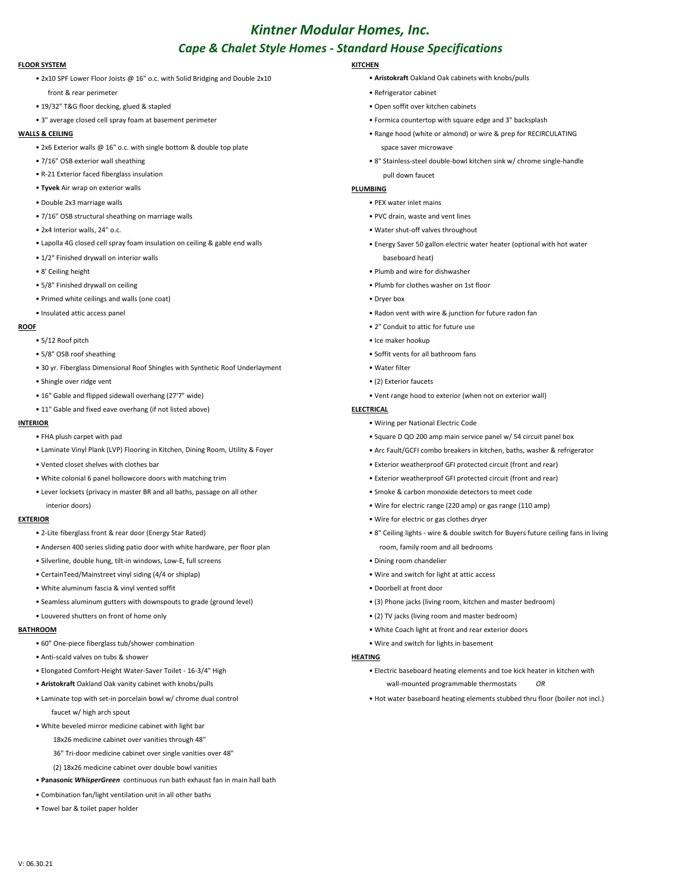# *Kintner Modular Homes, Inc. Cape & Chalet Style Homes - Standard House Specifications*

## **FLOOR SYSTEM KITCHEN**

- 2x10 SPF Lower Floor Joists @ 16" o.c. with Solid Bridging and Double 2x10 **Aristokraft** Oakland Oak cabinets with knobs/pulls
	- front & rear perimeter **Refrigerator cabinet** Refrigerator cabinet
- 19/32" T&G floor decking, glued & stapled Open soffit over kitchen cabinets
- 3" average closed cell spray foam at basement perimeter Frank expression and a strategies and 3" backsplash

- 2x6 Exterior walls @ 16" o.c. with single bottom & double top plate space space saver microwave
- 
- R-21 Exterior faced fiberglass insulation pull down faucet
- **Tyvek** Air wrap on exterior walls **PLUMBING**
- Double 2x3 marriage walls PEX water inlet mains
- 7/16" OSB structural sheathing on marriage walls  **PVC drain, waste and vent lines**
- 
- Lapolla 4G closed cell spray foam insulation on ceiling & gable end walls end walls Energy Saver 50 gallon electric water heater (optional with hot water
- 1/2" Finished drywall on interior walls baseboard heat) and the state of the state baseboard heat)
- 
- 
- Primed white ceilings and walls (one coat) Dryer box
- 

- 
- 
- 30 yr. Fiberglass Dimensional Roof Shingles with Synthetic Roof Underlayment Water filter
- Shingle over ridge vent (2) Exterior faucets
- 
- 11" Gable and fixed eave overhang (if not listed above) **ELECTRICAL**

- 
- Laminate Vinyl Plank (LVP) Flooring in Kitchen, Dining Room, Utility & Foyer Arc Fault/GCFI combo breakers in kitchen, baths, washer & refrigerator
- 
- White colonial 6 panel hollowcore doors with matching trim external trim exterior weatherproof GFI protected circuit (front and rear)
- Lever locksets (privacy in master BR and all baths, passage on all other Smoke & carbon monoxide detectors to meet code

- 
- Andersen 400 series sliding patio door with white hardware, per floor plan reasonal room, family room and all bedrooms
- Silverline, double hung, tilt-in windows, Low-E, full screens Dining room chandelier
- CertainTeed/Mainstreet vinyl siding (4/4 or shiplap) Wire and switch for light at attic access
- White aluminum fascia & vinyl vented soffit Doorbell at front door
- Seamless aluminum gutters with downspouts to grade (ground level) (3) Phone jacks (living room, kitchen and master bedroom)
- 

- 60" One-piece fiberglass tub/shower combination Wire and switch for lights in basement
- Anti-scald valves on tubs & shower **HEATING**
- 
- **Aristokraft** Oakland Oak vanity cabinet with knobs/pulls wall-mounted programmable thermostats *OR*
- faucet w/ high arch spout
- White beveled mirror medicine cabinet with light bar
	- 18x26 medicine cabinet over vanities through 48"
	- 36" Tri-door medicine cabinet over single vanities over 48"
	- (2) 18x26 medicine cabinet over double bowl vanities
- **Panasonic** *WhisperGreen* continuous run bath exhaust fan in main hall bath
- Combination fan/light ventilation unit in all other baths
- Towel bar & toilet paper holder

- 
- 
- 
- 
- **WALLS & CEILING Range hood (white or almond) or wire & prep for RECIRCULATING** 
	- 7/16" OSB exterior wall sheathing 8" Stainless-steel double-bowl kitchen sink w/ chrome single-handle

- -
- 2x4 Interior walls, 24" o.c. Water shut-off valves throughout Water shut-off valves throughout
	-
- 8' Ceiling height Plumb and wire for dishwasher
- 5/8" Finished drywall on ceiling Plumb for clothes washer on 1st floor
	-
- Insulated attic access panel Radon vent with wire & junction for future radon fan
- **ROOF** 2" Conduit to attic for future use
	- 5/12 Roof pitch Ice maker hookup
	- 5/8" OSB roof sheathing Soffit vents for all bathroom fans
		-
		-
	- 16" Gable and flipped sidewall overhang (27'7" wide) Vent range hood to exterior (when not on exterior wall)

- **INTERIOR** Wiring per National Electric Code
	- FHA plush carpet with pad Square D QO 200 amp main service panel w/ 54 circuit panel box
		-
	- Vented closet shelves with clothes bar Exterior weatherproof GFI protected circuit (front and rear)
		-
		-
		- interior doors) Wire for electric range (220 amp) or gas range (110 amp)
- **EXTERIOR** Wire for electric or gas clothes dryer
	- 2-Lite fiberglass front & rear door (Energy Star Rated) 8" Ceiling lights wire & double switch for Buyers future ceiling fans in living
		-
		-
		-
		-
	- Louvered shutters on front of home only example and master bedroom) (2) TV jacks (living room and master bedroom)
- **BATHROOM White Coach light at front and rear exterior doors White Coach light at front and rear exterior doors** 
	-

- Elongated Comfort-Height Water-Saver Toilet 16-3/4" High Electric baseboard heating elements and toe kick heater in kitchen with
- Laminate top with set-in porcelain bowl w/ chrome dual control Hot water baseboard heating elements stubbed thru floor (boiler not incl.)